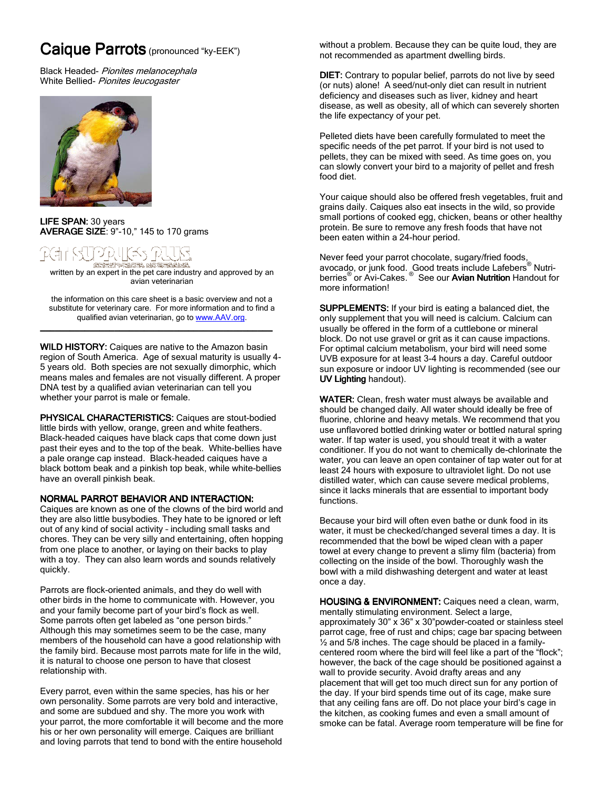# Caique Parrots (pronounced "ky-EEK")

Black Headed- Pionites melanocephala White Bellied- Pionites leucogaster



LIFE SPAN: 30 years AVERAGE SIZE:  $9" - 10," 145$  to 170 grams

# 그리다(라기

written by an expert in the pet care industry and approved by an<br>written by an expert in the pet care industry and approved by an avian veterinarian

the information on this care sheet is a basic overview and not a substitute for veterinary care. For more information and to find a qualified avian veterinarian, go to www.AAV.org.

\_\_\_\_\_\_\_\_\_\_\_\_\_\_\_\_\_\_\_\_\_\_\_\_\_\_\_\_\_\_\_\_\_\_\_\_\_\_\_\_\_\_\_\_\_\_\_ \_\_\_\_\_\_\_\_\_\_\_\_\_\_\_\_\_\_\_\_\_\_\_\_\_\_\_\_\_\_\_\_\_\_\_\_\_\_\_\_\_\_\_\_\_\_\_\_\_\_\_\_\_\_\_\_\_\_\_\_\_\_\_\_\_

WILD HISTORY: Caiques are native to the Amazon basin region of South America. Age of sexual maturity is usually 4- 5 years old. Both species are not sexually dimorphic, which means males and females are not visually different. A proper DNA test by a qualified avian veterinarian can tell you whether your parrot is male or female.

PHYSICAL CHARACTERISTICS: Caiques are stout-bodied little birds with yellow, orange, green and white feathers. Black-headed caiques have black caps that come down just past their eyes and to the top of the beak. White-bellies have a pale orange cap instead. Black-headed caiques have a black bottom beak and a pinkish top beak, while white-bellies have an overall pinkish beak.

## NORMAL PARROT BEHAVIOR AND INTERACTION:

Caiques are known as one of the clowns of the bird world and they are also little busybodies. They hate to be ignored or left out of any kind of social activity – including small tasks and chores. They can be very silly and entertaining, often hopping from one place to another, or laying on their backs to play with a toy. They can also learn words and sounds relatively quickly.

Parrots are flock-oriented animals, and they do well with other birds in the home to communicate with. However, you and your family become part of your bird's flock as well. Some parrots often get labeled as "one person birds." Although this may sometimes seem to be the case, many members of the household can have a good relationship with the family bird. Because most parrots mate for life in the wild, it is natural to choose one person to have that closest relationship with.

Every parrot, even within the same species, has his or her own personality. Some parrots are very bold and interactive, and some are subdued and shy. The more you work with your parrot, the more comfortable it will become and the more his or her own personality will emerge. Caiques are brilliant and loving parrots that tend to bond with the entire household

without a problem. Because they can be quite loud, they are not recommended as apartment dwelling birds.

DIET: Contrary to popular belief, parrots do not live by seed (or nuts) alone! A seed/nut-only diet can result in nutrient deficiency and diseases such as liver, kidney and heart disease, as well as obesity, all of which can severely shorten the life expectancy of your pet.

Pelleted diets have been carefully formulated to meet the specific needs of the pet parrot. If your bird is not used to pellets, they can be mixed with seed. As time goes on, you can slowly convert your bird to a majority of pellet and fresh food diet.

Your caique should also be offered fresh vegetables, fruit and grains daily. Caiques also eat insects in the wild, so provide small portions of cooked egg, chicken, beans or other healthy protein. Be sure to remove any fresh foods that have not been eaten within a 24-hour period.

Never feed your parrot chocolate, sugary/fried foods, avocado, or junk food. Good treats include Lafebers<sup>®</sup> Nutri-<br>berries<sup>®</sup> or Avi-Cakes. <sup>®</sup> See our **Avian Nutrition** Handout for more information!

SUPPLEMENTS: If your bird is eating a balanced diet, the only supplement that you will need is calcium. Calcium can usually be offered in the form of a cuttlebone or mineral block. Do not use gravel or grit as it can cause impactions. For optimal calcium metabolism, your bird will need some UVB exposure for at least 3-4 hours a day. Careful outdoor sun exposure or indoor UV lighting is recommended (see our UV Lighting handout).

WATER: Clean, fresh water must always be available and should be changed daily. All water should ideally be free of fluorine, chlorine and heavy metals. We recommend that you use unflavored bottled drinking water or bottled natural spring water. If tap water is used, you should treat it with a water conditioner. If you do not want to chemically de-chlorinate the water, you can leave an open container of tap water out for at least 24 hours with exposure to ultraviolet light. Do not use distilled water, which can cause severe medical problems, since it lacks minerals that are essential to important body functions.

Because your bird will often even bathe or dunk food in its water, it must be checked/changed several times a day. It is recommended that the bowl be wiped clean with a paper towel at every change to prevent a slimy film (bacteria) from collecting on the inside of the bowl. Thoroughly wash the bowl with a mild dishwashing detergent and water at least once a day.

HOUSING & ENVIRONMENT: Caiques need a clean, warm, mentally stimulating environment. Select a large, approximately 30" x 36" x 30"powder-coated or stainless steel parrot cage, free of rust and chips; cage bar spacing between  $\frac{1}{2}$  and 5/8 inches. The cage should be placed in a familycentered room where the bird will feel like a part of the "flock"; however, the back of the cage should be positioned against a wall to provide security. Avoid drafty areas and any placement that will get too much direct sun for any portion of the day. If your bird spends time out of its cage, make sure that any ceiling fans are off. Do not place your bird's cage in the kitchen, as cooking fumes and even a small amount of smoke can be fatal. Average room temperature will be fine for